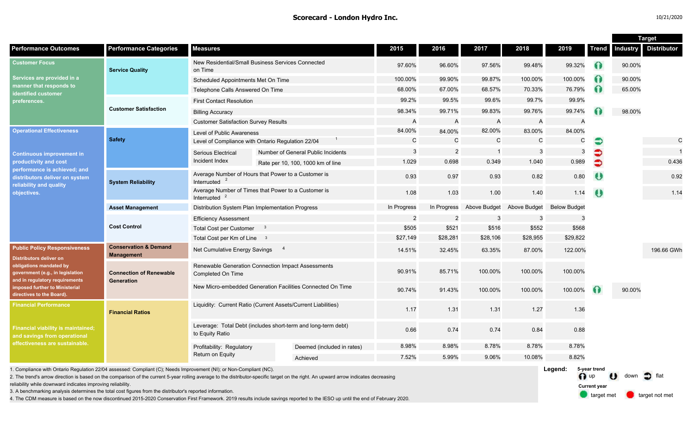#### **Scorecard - London Hydro Inc.** 10/21/2020

target met **target not met** 

**Current year**

|                                                                                                                       |                                                       |                                                                                  |                                                                                                                                                                                       |                |                |                |                     |                         |                       | <b>Target</b>   |                    |
|-----------------------------------------------------------------------------------------------------------------------|-------------------------------------------------------|----------------------------------------------------------------------------------|---------------------------------------------------------------------------------------------------------------------------------------------------------------------------------------|----------------|----------------|----------------|---------------------|-------------------------|-----------------------|-----------------|--------------------|
| <b>Performance Outcomes</b>                                                                                           | <b>Performance Categories</b>                         | <b>Measures</b>                                                                  |                                                                                                                                                                                       | 2015           | 2016           | 2017           | 2018                | 2019                    | <b>Trend</b>          | <b>Industry</b> | <b>Distributor</b> |
| <b>Customer Focus</b><br>Services are provided in a<br>manner that responds to<br>identified customer<br>preferences. | <b>Service Quality</b>                                | on Time                                                                          | New Residential/Small Business Services Connected                                                                                                                                     | 97.60%         | 96.60%         | 97.56%         | 99.48%              | 99.32%                  | $\bullet$             | 90.00%          |                    |
|                                                                                                                       |                                                       | Scheduled Appointments Met On Time                                               |                                                                                                                                                                                       | 100.00%        | 99.90%         | 99.87%         | 100.00%             | 100.00%                 | $\Omega$              | 90.00%          |                    |
|                                                                                                                       |                                                       | Telephone Calls Answered On Time                                                 |                                                                                                                                                                                       | 68.00%         | 67.00%         | 68.57%         | 70.33%              | 76.79%                  | $\Omega$              | 65.00%          |                    |
|                                                                                                                       |                                                       | <b>First Contact Resolution</b>                                                  |                                                                                                                                                                                       | 99.2%          | 99.5%          | 99.6%          | 99.7%               | 99.9%                   |                       |                 |                    |
|                                                                                                                       | <b>Customer Satisfaction</b>                          | <b>Billing Accuracy</b>                                                          |                                                                                                                                                                                       | 98.34%         | 99.71%         | 99.83%         | 99.76%              | 99.74%                  |                       | 98.00%          |                    |
|                                                                                                                       |                                                       | <b>Customer Satisfaction Survey Results</b>                                      |                                                                                                                                                                                       | A              | A              | A              | $\mathsf{A}$        | $\overline{A}$          |                       |                 |                    |
| <b>Operational Effectiveness</b>                                                                                      |                                                       | Level of Public Awareness                                                        |                                                                                                                                                                                       | 84.00%         | 84.00%         | 82.00%         | 83.00%              | 84.00%                  |                       |                 |                    |
|                                                                                                                       | <b>Safety</b>                                         | Level of Compliance with Ontario Regulation 22/04                                |                                                                                                                                                                                       | C              | $\mathbf C$    | $\mathbf C$    | $\mathbf C$         | C                       |                       |                 | $\mathsf C$        |
| <b>Continuous improvement in</b>                                                                                      |                                                       | <b>Serious Electrical</b>                                                        | Number of General Public Incidents                                                                                                                                                    | 3              | $\overline{2}$ | $\overline{1}$ | 3                   | -3                      | €                     |                 | $\overline{1}$     |
| productivity and cost                                                                                                 |                                                       | Incident Index                                                                   | Rate per 10, 100, 1000 km of line                                                                                                                                                     | 1.029          | 0.698          | 0.349          | 1.040               | 0.989                   | €                     |                 | 0.436              |
| performance is achieved; and<br>distributors deliver on system<br>reliability and quality                             | <b>System Reliability</b>                             | Interrupted <sup>2</sup>                                                         | Average Number of Hours that Power to a Customer is                                                                                                                                   | 0.93           | 0.97           | 0.93           | 0.82                | 0.80                    | $\boldsymbol{\theta}$ |                 | 0.92               |
| objectives.                                                                                                           |                                                       | Average Number of Times that Power to a Customer is<br>Interrupted               |                                                                                                                                                                                       | 1.08           | 1.03           | 1.00           | 1.40                | 1.14                    | $\theta$              |                 | 1.14               |
|                                                                                                                       | <b>Asset Management</b>                               | Distribution System Plan Implementation Progress                                 | In Progress                                                                                                                                                                           | In Progress    | Above Budget   | Above Budget   | <b>Below Budget</b> |                         |                       |                 |                    |
|                                                                                                                       | <b>Cost Control</b>                                   | <b>Efficiency Assessment</b>                                                     |                                                                                                                                                                                       | $\overline{2}$ | $\overline{2}$ | 3              | 3                   | -3                      |                       |                 |                    |
|                                                                                                                       |                                                       | <b>Total Cost per Customer</b><br>- 3                                            |                                                                                                                                                                                       | \$505          | \$521          | \$516          | \$552               | \$568                   |                       |                 |                    |
|                                                                                                                       |                                                       | Total Cost per Km of Line 3                                                      |                                                                                                                                                                                       | \$27,149       | \$28,281       | \$28,106       | \$28,955            | \$29,822                |                       |                 |                    |
| <b>Public Policy Responsiveness</b><br><b>Distributors deliver on</b>                                                 | <b>Conservation &amp; Demand</b><br><b>Management</b> | Net Cumulative Energy Savings                                                    | $\overline{a}$                                                                                                                                                                        | 14.51%         | 32.45%         | 63.35%         | 87.00%              | 122.00%                 |                       |                 | 196.66 GWh         |
| obligations mandated by<br>government (e.g., in legislation<br>and in regulatory requirements                         | <b>Connection of Renewable</b><br>Generation          | Completed On Time                                                                | Renewable Generation Connection Impact Assessments                                                                                                                                    | 90.91%         | 85.71%         | 100.00%        | 100.00%             | 100.00%                 |                       |                 |                    |
| imposed further to Ministerial<br>directives to the Board).                                                           |                                                       | New Micro-embedded Generation Facilities Connected On Time                       |                                                                                                                                                                                       | 90.74%         | 91.43%         | 100.00%        | 100.00%             | 100.00%                 | 60                    | 90.00%          |                    |
| <b>Financial Performance</b><br><b>Financial viability is maintained;</b><br>and savings from operational             | <b>Financial Ratios</b>                               | Liquidity: Current Ratio (Current Assets/Current Liabilities)                    |                                                                                                                                                                                       | 1.17           | 1.31           | 1.31           | 1.27                | 1.36                    |                       |                 |                    |
|                                                                                                                       |                                                       | Leverage: Total Debt (includes short-term and long-term debt)<br>to Equity Ratio |                                                                                                                                                                                       | 0.66           | 0.74           | 0.74           | 0.84                | 0.88                    |                       |                 |                    |
| effectiveness are sustainable.                                                                                        |                                                       | Profitability: Regulatory                                                        | Deemed (included in rates)                                                                                                                                                            | 8.98%          | 8.98%          | 8.78%          | 8.78%               | 8.78%                   |                       |                 |                    |
|                                                                                                                       |                                                       | Return on Equity                                                                 | Achieved                                                                                                                                                                              | 7.52%          | 5.99%          | 9.06%          | 10.08%              | 8.82%                   |                       |                 |                    |
| 1. Compliance with Ontario Regulation 22/04 assessed: Compliant (C); Needs Improvement (NI); or Non-Compliant (NC).   |                                                       |                                                                                  | 2. The trend's arrow direction is based on the comparison of the current 5-year rolling average to the distributor-specific target on the right. An upward arrow indicates decreasing |                |                |                |                     | Legend:<br>$\bigcap$ up | 5-year trend          | down<br>$\cdot$ |                    |

2. The trend's arrow direction is based on the comparison of the current 5-year rolling average to the distributor-specific target on the right. An upward arrow indicates decreasing

reliability while downward indicates improving reliability.

3. A benchmarking analysis determines the total cost figures from the distributor's reported information.

4. The CDM measure is based on the now discontinued 2015-2020 Conservation First Framework. 2019 results include savings reported to the IESO up until the end of February 2020.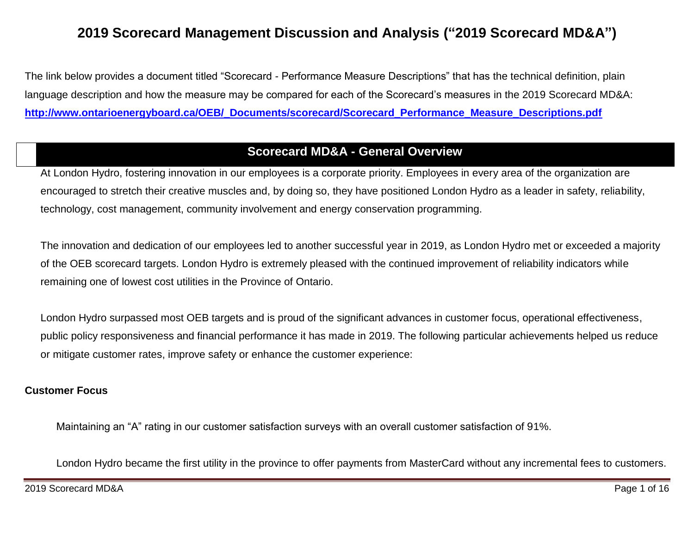# **2019 Scorecard Management Discussion and Analysis ("2019 Scorecard MD&A")**

The link below provides a document titled "Scorecard - Performance Measure Descriptions" that has the technical definition, plain language description and how the measure may be compared for each of the Scorecard's measures in the 2019 Scorecard MD&A: **[http://www.ontarioenergyboard.ca/OEB/\\_Documents/scorecard/Scorecard\\_Performance\\_Measure\\_Descriptions.pdf](http://www.ontarioenergyboard.ca/OEB/_Documents/scorecard/Scorecard_Performance_Measure_Descriptions.pdf)**

### **Scorecard MD&A - General Overview**

At London Hydro, fostering innovation in our employees is a corporate priority. Employees in every area of the organization are encouraged to stretch their creative muscles and, by doing so, they have positioned London Hydro as a leader in safety, reliability, technology, cost management, community involvement and energy conservation programming.

The innovation and dedication of our employees led to another successful year in 2019, as London Hydro met or exceeded a majority of the OEB scorecard targets. London Hydro is extremely pleased with the continued improvement of reliability indicators while remaining one of lowest cost utilities in the Province of Ontario.

London Hydro surpassed most OEB targets and is proud of the significant advances in customer focus, operational effectiveness, public policy responsiveness and financial performance it has made in 2019. The following particular achievements helped us reduce or mitigate customer rates, improve safety or enhance the customer experience:

#### **Customer Focus**

Maintaining an "A" rating in our customer satisfaction surveys with an overall customer satisfaction of 91%.

London Hydro became the first utility in the province to offer payments from MasterCard without any incremental fees to customers.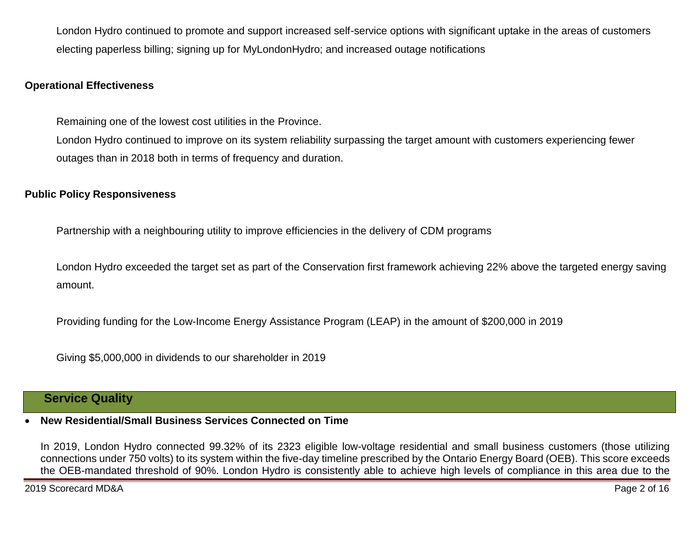London Hydro continued to promote and support increased self-service options with significant uptake in the areas of customers electing paperless billing; signing up for MyLondonHydro; and increased outage notifications

#### **Operational Effectiveness**

Remaining one of the lowest cost utilities in the Province.

London Hydro continued to improve on its system reliability surpassing the target amount with customers experiencing fewer outages than in 2018 both in terms of frequency and duration.

#### **Public Policy Responsiveness**

Partnership with a neighbouring utility to improve efficiencies in the delivery of CDM programs

London Hydro exceeded the target set as part of the Conservation first framework achieving 22% above the targeted energy saving amount.

Providing funding for the Low-Income Energy Assistance Program (LEAP) in the amount of \$200,000 in 2019

Giving \$5,000,000 in dividends to our shareholder in 2019

### **Service Quality**

### **New Residential/Small Business Services Connected on Time**

In 2019, London Hydro connected 99.32% of its 2323 eligible low-voltage residential and small business customers (those utilizing connections under 750 volts) to its system within the five-day timeline prescribed by the Ontario Energy Board (OEB). This score exceeds the OEB-mandated threshold of 90%. London Hydro is consistently able to achieve high levels of compliance in this area due to the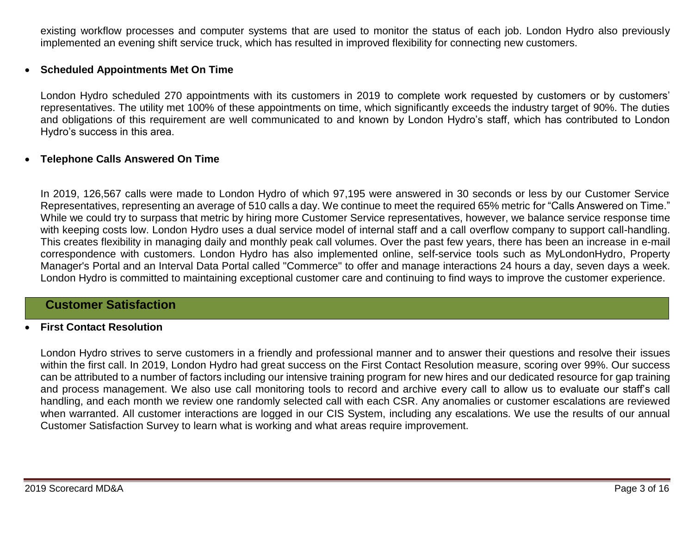existing workflow processes and computer systems that are used to monitor the status of each job. London Hydro also previously implemented an evening shift service truck, which has resulted in improved flexibility for connecting new customers.

#### **Scheduled Appointments Met On Time**

London Hydro scheduled 270 appointments with its customers in 2019 to complete work requested by customers or by customers' representatives. The utility met 100% of these appointments on time, which significantly exceeds the industry target of 90%. The duties and obligations of this requirement are well communicated to and known by London Hydro's staff, which has contributed to London Hydro's success in this area.

#### **Telephone Calls Answered On Time**

In 2019, 126,567 calls were made to London Hydro of which 97,195 were answered in 30 seconds or less by our Customer Service Representatives, representing an average of 510 calls a day. We continue to meet the required 65% metric for "Calls Answered on Time." While we could try to surpass that metric by hiring more Customer Service representatives, however, we balance service response time with keeping costs low. London Hydro uses a dual service model of internal staff and a call overflow company to support call-handling. This creates flexibility in managing daily and monthly peak call volumes. Over the past few years, there has been an increase in e-mail correspondence with customers. London Hydro has also implemented online, self-service tools such as MyLondonHydro, Property Manager's Portal and an Interval Data Portal called "Commerce" to offer and manage interactions 24 hours a day, seven days a week. London Hydro is committed to maintaining exceptional customer care and continuing to find ways to improve the customer experience.

### **Customer Satisfaction**

#### **First Contact Resolution**

London Hydro strives to serve customers in a friendly and professional manner and to answer their questions and resolve their issues within the first call. In 2019, London Hydro had great success on the First Contact Resolution measure, scoring over 99%. Our success can be attributed to a number of factors including our intensive training program for new hires and our dedicated resource for gap training and process management. We also use call monitoring tools to record and archive every call to allow us to evaluate our staff's call handling, and each month we review one randomly selected call with each CSR. Any anomalies or customer escalations are reviewed when warranted. All customer interactions are logged in our CIS System, including any escalations. We use the results of our annual Customer Satisfaction Survey to learn what is working and what areas require improvement.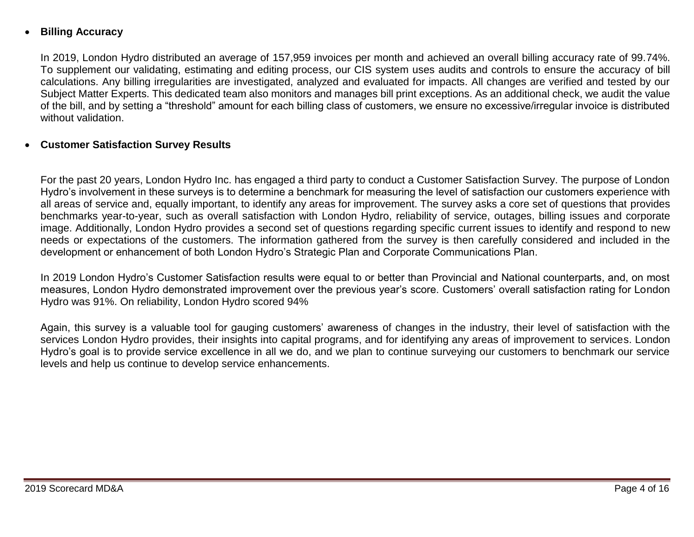### **Billing Accuracy**

In 2019, London Hydro distributed an average of 157,959 invoices per month and achieved an overall billing accuracy rate of 99.74%. To supplement our validating, estimating and editing process, our CIS system uses audits and controls to ensure the accuracy of bill calculations. Any billing irregularities are investigated, analyzed and evaluated for impacts. All changes are verified and tested by our Subject Matter Experts. This dedicated team also monitors and manages bill print exceptions. As an additional check, we audit the value of the bill, and by setting a "threshold" amount for each billing class of customers, we ensure no excessive/irregular invoice is distributed without validation.

#### **Customer Satisfaction Survey Results**

For the past 20 years, London Hydro Inc. has engaged a third party to conduct a Customer Satisfaction Survey. The purpose of London Hydro's involvement in these surveys is to determine a benchmark for measuring the level of satisfaction our customers experience with all areas of service and, equally important, to identify any areas for improvement. The survey asks a core set of questions that provides benchmarks year-to-year, such as overall satisfaction with London Hydro, reliability of service, outages, billing issues and corporate image. Additionally, London Hydro provides a second set of questions regarding specific current issues to identify and respond to new needs or expectations of the customers. The information gathered from the survey is then carefully considered and included in the development or enhancement of both London Hydro's Strategic Plan and Corporate Communications Plan.

In 2019 London Hydro's Customer Satisfaction results were equal to or better than Provincial and National counterparts, and, on most measures, London Hydro demonstrated improvement over the previous year's score. Customers' overall satisfaction rating for London Hydro was 91%. On reliability, London Hydro scored 94%

Again, this survey is a valuable tool for gauging customers' awareness of changes in the industry, their level of satisfaction with the services London Hydro provides, their insights into capital programs, and for identifying any areas of improvement to services. London Hydro's goal is to provide service excellence in all we do, and we plan to continue surveying our customers to benchmark our service levels and help us continue to develop service enhancements.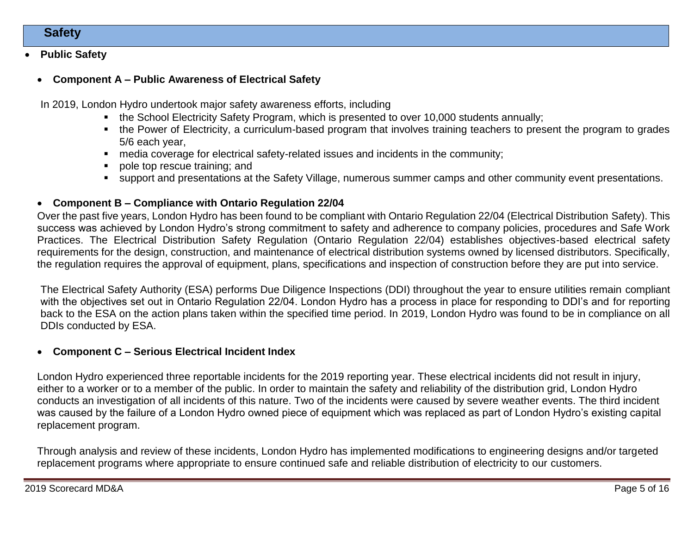### **Safety**

#### **Public Safety**

#### **Component A – Public Awareness of Electrical Safety**

In 2019, London Hydro undertook major safety awareness efforts, including

- the School Electricity Safety Program, which is presented to over 10,000 students annually;
- the Power of Electricity, a curriculum-based program that involves training teachers to present the program to grades 5/6 each year,
- media coverage for electrical safety-related issues and incidents in the community;
- pole top rescue training; and
- support and presentations at the Safety Village, numerous summer camps and other community event presentations.

#### **Component B – Compliance with Ontario Regulation 22/04**

Over the past five years, London Hydro has been found to be compliant with Ontario Regulation 22/04 (Electrical Distribution Safety). This success was achieved by London Hydro's strong commitment to safety and adherence to company policies, procedures and Safe Work Practices. The Electrical Distribution Safety Regulation (Ontario Regulation 22/04) establishes objectives-based electrical safety requirements for the design, construction, and maintenance of electrical distribution systems owned by licensed distributors. Specifically, the regulation requires the approval of equipment, plans, specifications and inspection of construction before they are put into service.

The Electrical Safety Authority (ESA) performs Due Diligence Inspections (DDI) throughout the year to ensure utilities remain compliant with the objectives set out in Ontario Regulation 22/04. London Hydro has a process in place for responding to DDI's and for reporting back to the ESA on the action plans taken within the specified time period. In 2019, London Hydro was found to be in compliance on all DDIs conducted by ESA.

#### **Component C – Serious Electrical Incident Index**

London Hydro experienced three reportable incidents for the 2019 reporting year. These electrical incidents did not result in injury, either to a worker or to a member of the public. In order to maintain the safety and reliability of the distribution grid, London Hydro conducts an investigation of all incidents of this nature. Two of the incidents were caused by severe weather events. The third incident was caused by the failure of a London Hydro owned piece of equipment which was replaced as part of London Hydro's existing capital replacement program.

Through analysis and review of these incidents, London Hydro has implemented modifications to engineering designs and/or targeted replacement programs where appropriate to ensure continued safe and reliable distribution of electricity to our customers.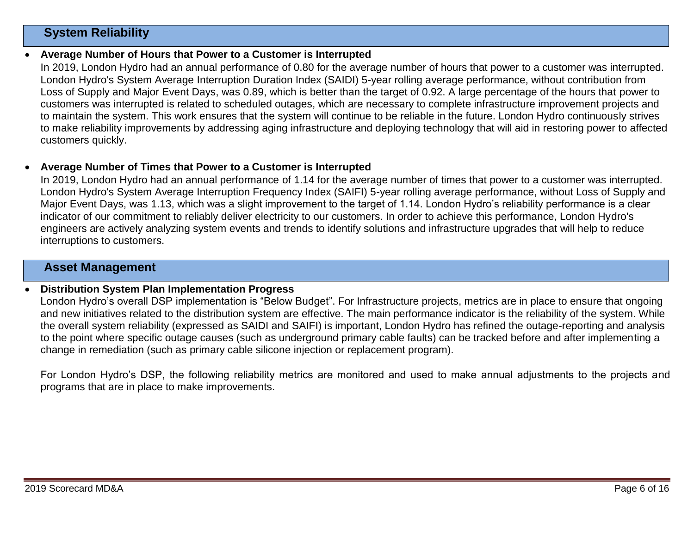### **System Reliability**

#### **Average Number of Hours that Power to a Customer is Interrupted**

In 2019, London Hydro had an annual performance of 0.80 for the average number of hours that power to a customer was interrupted. London Hydro's System Average Interruption Duration Index (SAIDI) 5-year rolling average performance, without contribution from Loss of Supply and Major Event Days, was 0.89, which is better than the target of 0.92. A large percentage of the hours that power to customers was interrupted is related to scheduled outages, which are necessary to complete infrastructure improvement projects and to maintain the system. This work ensures that the system will continue to be reliable in the future. London Hydro continuously strives to make reliability improvements by addressing aging infrastructure and deploying technology that will aid in restoring power to affected customers quickly.

#### **Average Number of Times that Power to a Customer is Interrupted**

In 2019, London Hydro had an annual performance of 1.14 for the average number of times that power to a customer was interrupted. London Hydro's System Average Interruption Frequency Index (SAIFI) 5-year rolling average performance, without Loss of Supply and Major Event Days, was 1.13, which was a slight improvement to the target of 1.14. London Hydro's reliability performance is a clear indicator of our commitment to reliably deliver electricity to our customers. In order to achieve this performance, London Hydro's engineers are actively analyzing system events and trends to identify solutions and infrastructure upgrades that will help to reduce interruptions to customers.

#### **Asset Management**

#### **Distribution System Plan Implementation Progress**

London Hydro's overall DSP implementation is "Below Budget". For Infrastructure projects, metrics are in place to ensure that ongoing and new initiatives related to the distribution system are effective. The main performance indicator is the reliability of the system. While the overall system reliability (expressed as SAIDI and SAIFI) is important, London Hydro has refined the outage-reporting and analysis to the point where specific outage causes (such as underground primary cable faults) can be tracked before and after implementing a change in remediation (such as primary cable silicone injection or replacement program).

For London Hydro's DSP, the following reliability metrics are monitored and used to make annual adjustments to the projects and programs that are in place to make improvements.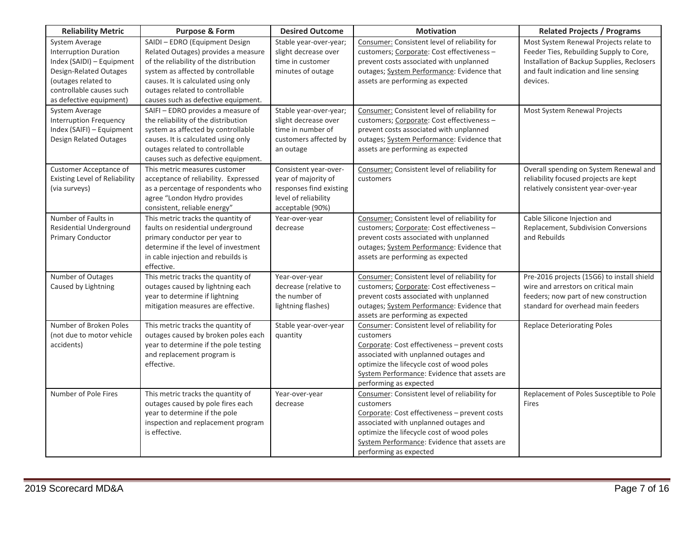| <b>Reliability Metric</b>                                                                                                                                                           | <b>Purpose &amp; Form</b>                                                                                                                                                                                                                                              | <b>Desired Outcome</b>                                                                                              | <b>Motivation</b>                                                                                                                                                                                                                                                           | <b>Related Projects / Programs</b>                                                                                                                                                   |
|-------------------------------------------------------------------------------------------------------------------------------------------------------------------------------------|------------------------------------------------------------------------------------------------------------------------------------------------------------------------------------------------------------------------------------------------------------------------|---------------------------------------------------------------------------------------------------------------------|-----------------------------------------------------------------------------------------------------------------------------------------------------------------------------------------------------------------------------------------------------------------------------|--------------------------------------------------------------------------------------------------------------------------------------------------------------------------------------|
| System Average<br><b>Interruption Duration</b><br>Index (SAIDI) - Equipment<br>Design-Related Outages<br>(outages related to<br>controllable causes such<br>as defective equipment) | SAIDI - EDRO (Equipment Design<br>Related Outages) provides a measure<br>of the reliability of the distribution<br>system as affected by controllable<br>causes. It is calculated using only<br>outages related to controllable<br>causes such as defective equipment. | Stable year-over-year;<br>slight decrease over<br>time in customer<br>minutes of outage                             | Consumer: Consistent level of reliability for<br>customers; Corporate: Cost effectiveness -<br>prevent costs associated with unplanned<br>outages; System Performance: Evidence that<br>assets are performing as expected                                                   | Most System Renewal Projects relate to<br>Feeder Ties, Rebuilding Supply to Core,<br>Installation of Backup Supplies, Reclosers<br>and fault indication and line sensing<br>devices. |
| System Average<br><b>Interruption Frequency</b><br>Index (SAIFI) - Equipment<br>Design Related Outages                                                                              | SAIFI - EDRO provides a measure of<br>the reliability of the distribution<br>system as affected by controllable<br>causes. It is calculated using only<br>outages related to controllable<br>causes such as defective equipment.                                       | Stable year-over-year;<br>slight decrease over<br>time in number of<br>customers affected by<br>an outage           | Consumer: Consistent level of reliability for<br>customers; Corporate: Cost effectiveness -<br>prevent costs associated with unplanned<br>outages; System Performance: Evidence that<br>assets are performing as expected                                                   | Most System Renewal Projects                                                                                                                                                         |
| Customer Acceptance of<br><b>Existing Level of Reliability</b><br>(via surveys)                                                                                                     | This metric measures customer<br>acceptance of reliability. Expressed<br>as a percentage of respondents who<br>agree "London Hydro provides<br>consistent, reliable energy"                                                                                            | Consistent year-over-<br>year of majority of<br>responses find existing<br>level of reliability<br>acceptable (90%) | Consumer: Consistent level of reliability for<br>customers                                                                                                                                                                                                                  | Overall spending on System Renewal and<br>reliability focused projects are kept<br>relatively consistent year-over-year                                                              |
| Number of Faults in<br>Residential Underground<br>Primary Conductor                                                                                                                 | This metric tracks the quantity of<br>faults on residential underground<br>primary conductor per year to<br>determine if the level of investment<br>in cable injection and rebuilds is<br>effective.                                                                   | Year-over-year<br>decrease                                                                                          | Consumer: Consistent level of reliability for<br>customers; Corporate: Cost effectiveness -<br>prevent costs associated with unplanned<br>outages; System Performance: Evidence that<br>assets are performing as expected                                                   | Cable Silicone Injection and<br>Replacement, Subdivision Conversions<br>and Rebuilds                                                                                                 |
| Number of Outages<br>Caused by Lightning                                                                                                                                            | This metric tracks the quantity of<br>outages caused by lightning each<br>year to determine if lightning<br>mitigation measures are effective.                                                                                                                         | Year-over-year<br>decrease (relative to<br>the number of<br>lightning flashes)                                      | Consumer: Consistent level of reliability for<br>customers; Corporate: Cost effectiveness -<br>prevent costs associated with unplanned<br>outages; System Performance: Evidence that<br>assets are performing as expected                                                   | Pre-2016 projects (15G6) to install shield<br>wire and arrestors on critical main<br>feeders; now part of new construction<br>standard for overhead main feeders                     |
| Number of Broken Poles<br>(not due to motor vehicle<br>accidents)                                                                                                                   | This metric tracks the quantity of<br>outages caused by broken poles each<br>year to determine if the pole testing<br>and replacement program is<br>effective.                                                                                                         | Stable year-over-year<br>quantity                                                                                   | Consumer: Consistent level of reliability for<br>customers<br>Corporate: Cost effectiveness - prevent costs<br>associated with unplanned outages and<br>optimize the lifecycle cost of wood poles<br>System Performance: Evidence that assets are<br>performing as expected | <b>Replace Deteriorating Poles</b>                                                                                                                                                   |
| Number of Pole Fires                                                                                                                                                                | This metric tracks the quantity of<br>outages caused by pole fires each<br>year to determine if the pole<br>inspection and replacement program<br>is effective.                                                                                                        | Year-over-year<br>decrease                                                                                          | Consumer: Consistent level of reliability for<br>customers<br>Corporate: Cost effectiveness - prevent costs<br>associated with unplanned outages and<br>optimize the lifecycle cost of wood poles<br>System Performance: Evidence that assets are<br>performing as expected | Replacement of Poles Susceptible to Pole<br>Fires                                                                                                                                    |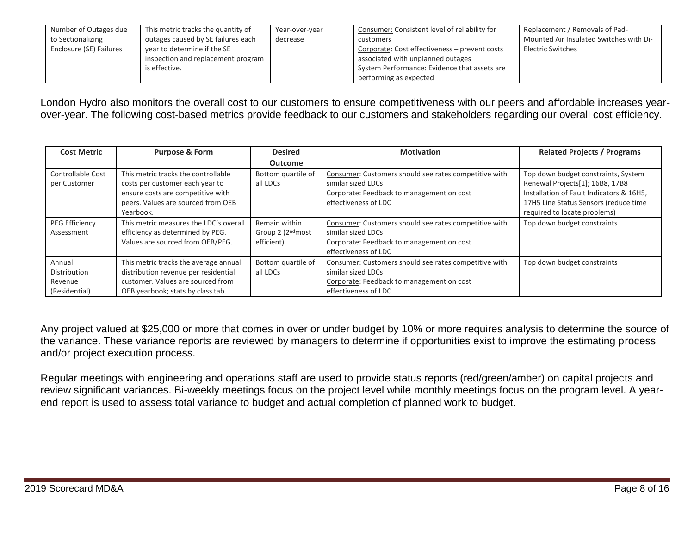| Number of Outages due   | This metric tracks the quantity of | Year-over-year | Consumer: Consistent level of reliability for | Replacement / Removals of Pad-          |
|-------------------------|------------------------------------|----------------|-----------------------------------------------|-----------------------------------------|
| to Sectionalizing       | outages caused by SE failures each | decrease       | customers                                     | Mounted Air Insulated Switches with Di- |
| Enclosure (SE) Failures | year to determine if the SE        |                | Corporate: Cost effectiveness – prevent costs | Electric Switches                       |
|                         | inspection and replacement program |                | associated with unplanned outages             |                                         |
|                         | is effective.                      |                | System Performance: Evidence that assets are  |                                         |
|                         |                                    |                | performing as expected                        |                                         |

London Hydro also monitors the overall cost to our customers to ensure competitiveness with our peers and affordable increases yearover-year. The following cost-based metrics provide feedback to our customers and stakeholders regarding our overall cost efficiency.

| <b>Cost Metric</b>                                 | <b>Purpose &amp; Form</b>                                                                                                                                      | <b>Desired</b>                                     | <b>Motivation</b>                                                                                                                                | <b>Related Projects / Programs</b>                                                                                                                                                          |
|----------------------------------------------------|----------------------------------------------------------------------------------------------------------------------------------------------------------------|----------------------------------------------------|--------------------------------------------------------------------------------------------------------------------------------------------------|---------------------------------------------------------------------------------------------------------------------------------------------------------------------------------------------|
|                                                    |                                                                                                                                                                | <b>Outcome</b>                                     |                                                                                                                                                  |                                                                                                                                                                                             |
| <b>Controllable Cost</b><br>per Customer           | This metric tracks the controllable<br>costs per customer each year to<br>ensure costs are competitive with<br>peers. Values are sourced from OEB<br>Yearbook. | Bottom quartile of<br>all LDCs                     | Consumer: Customers should see rates competitive with<br>similar sized LDCs<br>Corporate: Feedback to management on cost<br>effectiveness of LDC | Top down budget constraints, System<br>Renewal Projects[1]; 16B8, 17B8<br>Installation of Fault Indicators & 16H5,<br>17H5 Line Status Sensors (reduce time<br>required to locate problems) |
| PEG Efficiency<br>Assessment                       | This metric measures the LDC's overall<br>efficiency as determined by PEG.<br>Values are sourced from OEB/PEG.                                                 | Remain within<br>Group 2 $(2nd$ most<br>efficient) | Consumer: Customers should see rates competitive with<br>similar sized LDCs<br>Corporate: Feedback to management on cost<br>effectiveness of LDC | Top down budget constraints                                                                                                                                                                 |
| Annual<br>Distribution<br>Revenue<br>(Residential) | This metric tracks the average annual<br>distribution revenue per residential<br>customer. Values are sourced from<br>OEB yearbook; stats by class tab.        | Bottom quartile of<br>all LDCs                     | Consumer: Customers should see rates competitive with<br>similar sized LDCs<br>Corporate: Feedback to management on cost<br>effectiveness of LDC | Top down budget constraints                                                                                                                                                                 |

Any project valued at \$25,000 or more that comes in over or under budget by 10% or more requires analysis to determine the source of the variance. These variance reports are reviewed by managers to determine if opportunities exist to improve the estimating process and/or project execution process.

Regular meetings with engineering and operations staff are used to provide status reports (red/green/amber) on capital projects and review significant variances. Bi-weekly meetings focus on the project level while monthly meetings focus on the program level. A yearend report is used to assess total variance to budget and actual completion of planned work to budget.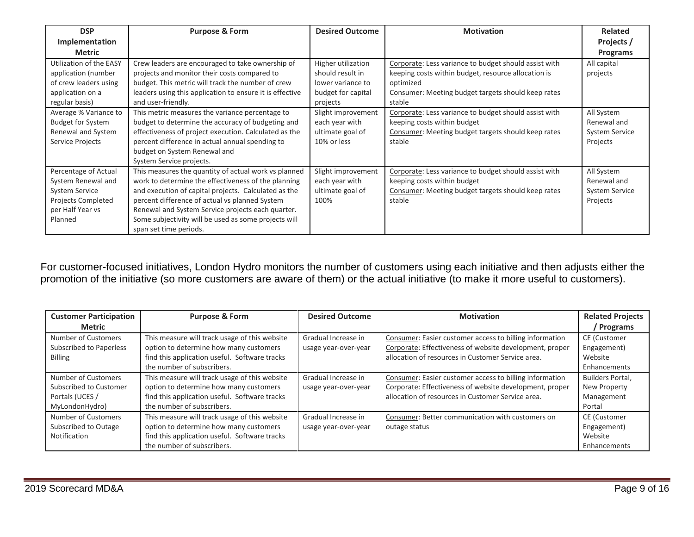| <b>DSP</b>                                                                                                               | <b>Purpose &amp; Form</b>                                                                                                                                                                                                                                                                                                                                    | <b>Desired Outcome</b>                                                                        | <b>Motivation</b>                                                                                                                                                                         | <b>Related</b>                                                 |
|--------------------------------------------------------------------------------------------------------------------------|--------------------------------------------------------------------------------------------------------------------------------------------------------------------------------------------------------------------------------------------------------------------------------------------------------------------------------------------------------------|-----------------------------------------------------------------------------------------------|-------------------------------------------------------------------------------------------------------------------------------------------------------------------------------------------|----------------------------------------------------------------|
| Implementation                                                                                                           |                                                                                                                                                                                                                                                                                                                                                              |                                                                                               |                                                                                                                                                                                           | Projects /                                                     |
| <b>Metric</b>                                                                                                            |                                                                                                                                                                                                                                                                                                                                                              |                                                                                               |                                                                                                                                                                                           | <b>Programs</b>                                                |
| Utilization of the EASY<br>application (number<br>of crew leaders using<br>application on a<br>regular basis)            | Crew leaders are encouraged to take ownership of<br>projects and monitor their costs compared to<br>budget. This metric will track the number of crew<br>leaders using this application to ensure it is effective<br>and user-friendly.                                                                                                                      | Higher utilization<br>should result in<br>lower variance to<br>budget for capital<br>projects | Corporate: Less variance to budget should assist with<br>keeping costs within budget, resource allocation is<br>optimized<br>Consumer: Meeting budget targets should keep rates<br>stable | All capital<br>projects                                        |
| Average % Variance to<br><b>Budget for System</b><br>Renewal and System<br>Service Projects                              | This metric measures the variance percentage to<br>budget to determine the accuracy of budgeting and<br>effectiveness of project execution. Calculated as the<br>percent difference in actual annual spending to<br>budget on System Renewal and<br>System Service projects.                                                                                 | Slight improvement<br>each year with<br>ultimate goal of<br>10% or less                       | Corporate: Less variance to budget should assist with<br>keeping costs within budget<br>Consumer: Meeting budget targets should keep rates<br>stable                                      | All System<br>Renewal and<br><b>System Service</b><br>Projects |
| Percentage of Actual<br>System Renewal and<br><b>System Service</b><br>Projects Completed<br>per Half Year vs<br>Planned | This measures the quantity of actual work vs planned<br>work to determine the effectiveness of the planning<br>and execution of capital projects. Calculated as the<br>percent difference of actual vs planned System<br>Renewal and System Service projects each quarter.<br>Some subjectivity will be used as some projects will<br>span set time periods. | Slight improvement<br>each year with<br>ultimate goal of<br>100%                              | Corporate: Less variance to budget should assist with<br>keeping costs within budget<br>Consumer: Meeting budget targets should keep rates<br>stable                                      | All System<br>Renewal and<br><b>System Service</b><br>Projects |

For customer-focused initiatives, London Hydro monitors the number of customers using each initiative and then adjusts either the promotion of the initiative (so more customers are aware of them) or the actual initiative (to make it more useful to customers).

| <b>Customer Participation</b> | <b>Purpose &amp; Form</b>                     | <b>Desired Outcome</b> | <b>Motivation</b>                                       | <b>Related Projects</b> |
|-------------------------------|-----------------------------------------------|------------------------|---------------------------------------------------------|-------------------------|
| <b>Metric</b>                 |                                               |                        |                                                         | / Programs              |
| Number of Customers           | This measure will track usage of this website | Gradual Increase in    | Consumer: Easier customer access to billing information | CE (Customer            |
| Subscribed to Paperless       | option to determine how many customers        | usage year-over-year   | Corporate: Effectiveness of website development, proper | Engagement)             |
| <b>Billing</b>                | find this application useful. Software tracks |                        | allocation of resources in Customer Service area.       | Website                 |
|                               | the number of subscribers.                    |                        |                                                         | Enhancements            |
| Number of Customers           | This measure will track usage of this website | Gradual Increase in    | Consumer: Easier customer access to billing information | Builders Portal,        |
| Subscribed to Customer        | option to determine how many customers        | usage year-over-year   | Corporate: Effectiveness of website development, proper | New Property            |
| Portals (UCES /               | find this application useful. Software tracks |                        | allocation of resources in Customer Service area.       | Management              |
| MyLondonHydro)                | the number of subscribers.                    |                        |                                                         | Portal                  |
| Number of Customers           | This measure will track usage of this website | Gradual Increase in    | Consumer: Better communication with customers on        | CE (Customer            |
| Subscribed to Outage          | option to determine how many customers        | usage year-over-year   | outage status                                           | Engagement)             |
| Notification                  | find this application useful. Software tracks |                        |                                                         | Website                 |
|                               | the number of subscribers.                    |                        |                                                         | Enhancements            |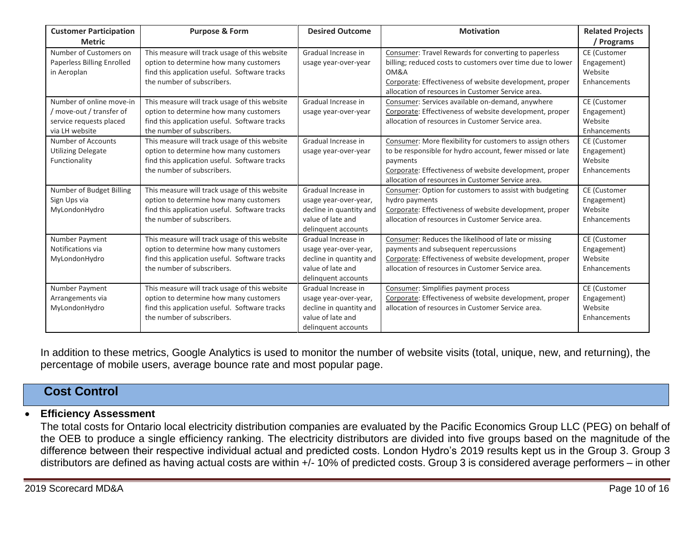| <b>Customer Participation</b><br><b>Metric</b>                                                  | <b>Purpose &amp; Form</b>                                                                                                                                              | <b>Desired Outcome</b>                                                                                              | <b>Motivation</b>                                                                                                                                                                                                                                  | <b>Related Projects</b><br>Programs                           |
|-------------------------------------------------------------------------------------------------|------------------------------------------------------------------------------------------------------------------------------------------------------------------------|---------------------------------------------------------------------------------------------------------------------|----------------------------------------------------------------------------------------------------------------------------------------------------------------------------------------------------------------------------------------------------|---------------------------------------------------------------|
| Number of Customers on<br><b>Paperless Billing Enrolled</b><br>in Aeroplan                      | This measure will track usage of this website<br>option to determine how many customers<br>find this application useful. Software tracks<br>the number of subscribers. | Gradual Increase in<br>usage year-over-year                                                                         | Consumer: Travel Rewards for converting to paperless<br>billing; reduced costs to customers over time due to lower<br>OM&A<br>Corporate: Effectiveness of website development, proper<br>allocation of resources in Customer Service area.         | <b>CE</b> (Customer<br>Engagement)<br>Website<br>Enhancements |
| Number of online move-in<br>move-out / transfer of<br>service requests placed<br>via LH website | This measure will track usage of this website<br>option to determine how many customers<br>find this application useful. Software tracks<br>the number of subscribers. | Gradual Increase in<br>usage year-over-year                                                                         | Consumer: Services available on-demand, anywhere<br>Corporate: Effectiveness of website development, proper<br>allocation of resources in Customer Service area.                                                                                   | CE (Customer<br>Engagement)<br>Website<br>Enhancements        |
| Number of Accounts<br><b>Utilizing Delegate</b><br>Functionality                                | This measure will track usage of this website<br>option to determine how many customers<br>find this application useful. Software tracks<br>the number of subscribers. | Gradual Increase in<br>usage year-over-year                                                                         | Consumer: More flexibility for customers to assign others<br>to be responsible for hydro account, fewer missed or late<br>payments<br>Corporate: Effectiveness of website development, proper<br>allocation of resources in Customer Service area. | CE (Customer<br>Engagement)<br>Website<br>Enhancements        |
| Number of Budget Billing<br>Sign Ups via<br>MyLondonHydro                                       | This measure will track usage of this website<br>option to determine how many customers<br>find this application useful. Software tracks<br>the number of subscribers. | Gradual Increase in<br>usage year-over-year,<br>decline in quantity and<br>value of late and<br>delinquent accounts | Consumer: Option for customers to assist with budgeting<br>hydro payments<br>Corporate: Effectiveness of website development, proper<br>allocation of resources in Customer Service area.                                                          | CE (Customer<br>Engagement)<br>Website<br>Enhancements        |
| Number Payment<br>Notifications via<br>MyLondonHydro                                            | This measure will track usage of this website<br>option to determine how many customers<br>find this application useful. Software tracks<br>the number of subscribers. | Gradual Increase in<br>usage year-over-year,<br>decline in quantity and<br>value of late and<br>delinquent accounts | Consumer: Reduces the likelihood of late or missing<br>payments and subsequent repercussions<br>Corporate: Effectiveness of website development, proper<br>allocation of resources in Customer Service area.                                       | <b>CE</b> (Customer<br>Engagement)<br>Website<br>Enhancements |
| Number Payment<br>Arrangements via<br>MyLondonHydro                                             | This measure will track usage of this website<br>option to determine how many customers<br>find this application useful. Software tracks<br>the number of subscribers. | Gradual Increase in<br>usage year-over-year,<br>decline in quantity and<br>value of late and<br>delinquent accounts | Consumer: Simplifies payment process<br>Corporate: Effectiveness of website development, proper<br>allocation of resources in Customer Service area.                                                                                               | <b>CE</b> (Customer<br>Engagement)<br>Website<br>Enhancements |

In addition to these metrics, Google Analytics is used to monitor the number of website visits (total, unique, new, and returning), the percentage of mobile users, average bounce rate and most popular page.

## **Cost Control**

#### **Efficiency Assessment**

The total costs for Ontario local electricity distribution companies are evaluated by the Pacific Economics Group LLC (PEG) on behalf of the OEB to produce a single efficiency ranking. The electricity distributors are divided into five groups based on the magnitude of the difference between their respective individual actual and predicted costs. London Hydro's 2019 results kept us in the Group 3. Group 3 distributors are defined as having actual costs are within +/- 10% of predicted costs. Group 3 is considered average performers – in other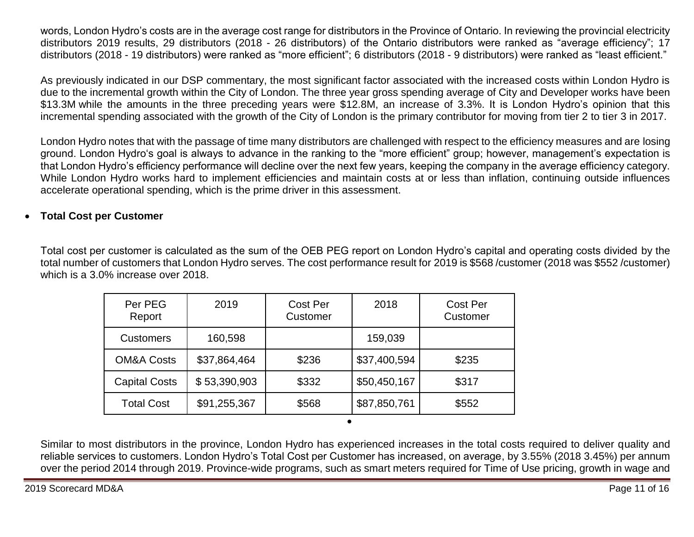words, London Hydro's costs are in the average cost range for distributors in the Province of Ontario. In reviewing the provincial electricity distributors 2019 results, 29 distributors (2018 - 26 distributors) of the Ontario distributors were ranked as "average efficiency"; 17 distributors (2018 - 19 distributors) were ranked as "more efficient"; 6 distributors (2018 - 9 distributors) were ranked as "least efficient."

As previously indicated in our DSP commentary, the most significant factor associated with the increased costs within London Hydro is due to the incremental growth within the City of London. The three year gross spending average of City and Developer works have been \$13.3M while the amounts in the three preceding years were \$12.8M, an increase of 3.3%. It is London Hydro's opinion that this incremental spending associated with the growth of the City of London is the primary contributor for moving from tier 2 to tier 3 in 2017.

London Hydro notes that with the passage of time many distributors are challenged with respect to the efficiency measures and are losing ground. London Hydro's goal is always to advance in the ranking to the "more efficient" group; however, management's expectation is that London Hydro's efficiency performance will decline over the next few years, keeping the company in the average efficiency category. While London Hydro works hard to implement efficiencies and maintain costs at or less than inflation, continuing outside influences accelerate operational spending, which is the prime driver in this assessment.

### **Total Cost per Customer**

Total cost per customer is calculated as the sum of the OEB PEG report on London Hydro's capital and operating costs divided by the total number of customers that London Hydro serves. The cost performance result for 2019 is \$568 /customer (2018 was \$552 /customer) which is a 3.0% increase over 2018.

| Per PEG<br>Report     | 2019         | Cost Per<br>Customer | 2018         | <b>Cost Per</b><br>Customer |
|-----------------------|--------------|----------------------|--------------|-----------------------------|
| <b>Customers</b>      | 160,598      |                      | 159,039      |                             |
| <b>OM&amp;A Costs</b> | \$37,864,464 | \$236                | \$37,400,594 | \$235                       |
| <b>Capital Costs</b>  | \$53,390,903 | \$332                | \$50,450,167 | \$317                       |
| <b>Total Cost</b>     | \$91,255,367 | \$568                | \$87,850,761 | \$552                       |
|                       |              |                      |              |                             |

Similar to most distributors in the province, London Hydro has experienced increases in the total costs required to deliver quality and reliable services to customers. London Hydro's Total Cost per Customer has increased, on average, by 3.55% (2018 3.45%) per annum over the period 2014 through 2019. Province-wide programs, such as smart meters required for Time of Use pricing, growth in wage and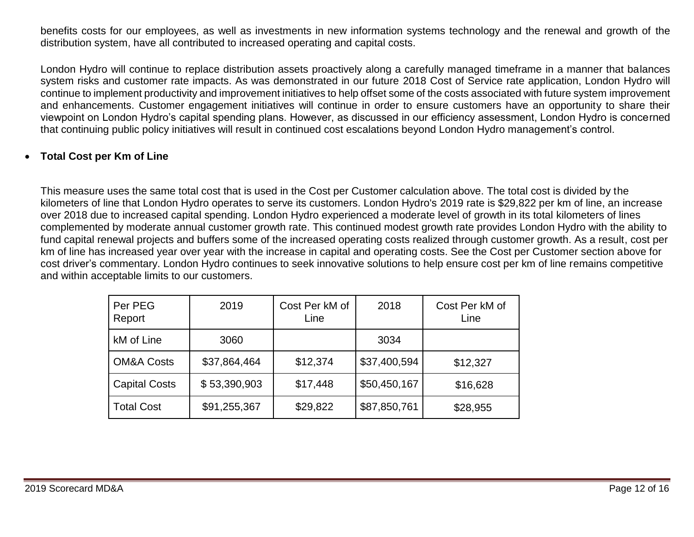benefits costs for our employees, as well as investments in new information systems technology and the renewal and growth of the distribution system, have all contributed to increased operating and capital costs.

London Hydro will continue to replace distribution assets proactively along a carefully managed timeframe in a manner that balances system risks and customer rate impacts. As was demonstrated in our future 2018 Cost of Service rate application, London Hydro will continue to implement productivity and improvement initiatives to help offset some of the costs associated with future system improvement and enhancements. Customer engagement initiatives will continue in order to ensure customers have an opportunity to share their viewpoint on London Hydro's capital spending plans. However, as discussed in our efficiency assessment, London Hydro is concerned that continuing public policy initiatives will result in continued cost escalations beyond London Hydro management's control.

### **Total Cost per Km of Line**

This measure uses the same total cost that is used in the Cost per Customer calculation above. The total cost is divided by the kilometers of line that London Hydro operates to serve its customers. London Hydro's 2019 rate is \$29,822 per km of line, an increase over 2018 due to increased capital spending. London Hydro experienced a moderate level of growth in its total kilometers of lines complemented by moderate annual customer growth rate. This continued modest growth rate provides London Hydro with the ability to fund capital renewal projects and buffers some of the increased operating costs realized through customer growth. As a result, cost per km of line has increased year over year with the increase in capital and operating costs. See the Cost per Customer section above for cost driver's commentary. London Hydro continues to seek innovative solutions to help ensure cost per km of line remains competitive and within acceptable limits to our customers.

| Per PEG<br>Report     | 2019         | Cost Per kM of<br>Line | 2018         | Cost Per kM of<br>Line |
|-----------------------|--------------|------------------------|--------------|------------------------|
| kM of Line            | 3060         |                        | 3034         |                        |
| <b>OM&amp;A Costs</b> | \$37,864,464 | \$12,374               | \$37,400,594 | \$12,327               |
| <b>Capital Costs</b>  | \$53,390,903 | \$17,448               | \$50,450,167 | \$16,628               |
| <b>Total Cost</b>     | \$91,255,367 | \$29,822               | \$87,850,761 | \$28,955               |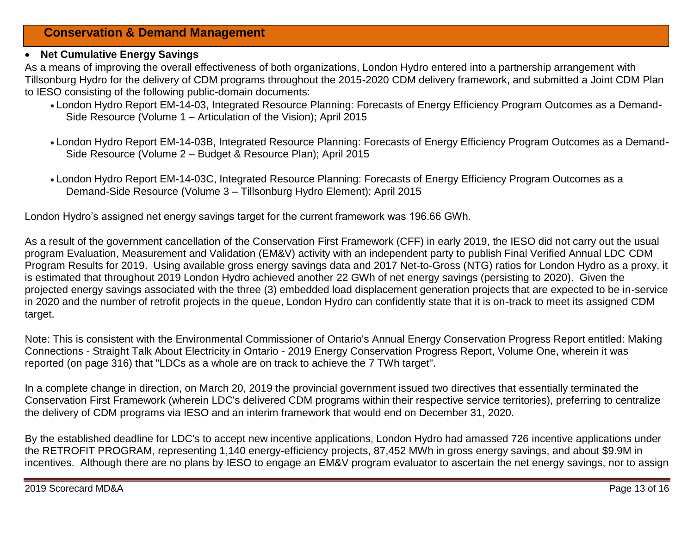### **Conservation & Demand Management**

#### **Net Cumulative Energy Savings**

As a means of improving the overall effectiveness of both organizations, London Hydro entered into a partnership arrangement with Tillsonburg Hydro for the delivery of CDM programs throughout the 2015-2020 CDM delivery framework, and submitted a Joint CDM Plan to IESO consisting of the following public-domain documents:

- London Hydro Report EM-14-03, Integrated Resource Planning: Forecasts of Energy Efficiency Program Outcomes as a Demand-Side Resource (Volume 1 – Articulation of the Vision); April 2015
- London Hydro Report EM-14-03B, Integrated Resource Planning: Forecasts of Energy Efficiency Program Outcomes as a Demand-Side Resource (Volume 2 – Budget & Resource Plan); April 2015
- London Hydro Report EM-14-03C, Integrated Resource Planning: Forecasts of Energy Efficiency Program Outcomes as a Demand-Side Resource (Volume 3 – Tillsonburg Hydro Element); April 2015

London Hydro's assigned net energy savings target for the current framework was 196.66 GWh.

As a result of the government cancellation of the Conservation First Framework (CFF) in early 2019, the IESO did not carry out the usual program Evaluation, Measurement and Validation (EM&V) activity with an independent party to publish Final Verified Annual LDC CDM Program Results for 2019. Using available gross energy savings data and 2017 Net-to-Gross (NTG) ratios for London Hydro as a proxy, it is estimated that throughout 2019 London Hydro achieved another 22 GWh of net energy savings (persisting to 2020). Given the projected energy savings associated with the three (3) embedded load displacement generation projects that are expected to be in-service in 2020 and the number of retrofit projects in the queue, London Hydro can confidently state that it is on-track to meet its assigned CDM target.

Note: This is consistent with the Environmental Commissioner of Ontario's Annual Energy Conservation Progress Report entitled: Making Connections - Straight Talk About Electricity in Ontario - 2019 Energy Conservation Progress Report, Volume One, wherein it was reported (on page 316) that "LDCs as a whole are on track to achieve the 7 TWh target".

In a complete change in direction, on March 20, 2019 the provincial government issued two directives that essentially terminated the Conservation First Framework (wherein LDC's delivered CDM programs within their respective service territories), preferring to centralize the delivery of CDM programs via IESO and an interim framework that would end on December 31, 2020.

By the established deadline for LDC's to accept new incentive applications, London Hydro had amassed 726 incentive applications under the RETROFIT PROGRAM, representing 1,140 energy-efficiency projects, 87,452 MWh in gross energy savings, and about \$9.9M in incentives. Although there are no plans by IESO to engage an EM&V program evaluator to ascertain the net energy savings, nor to assign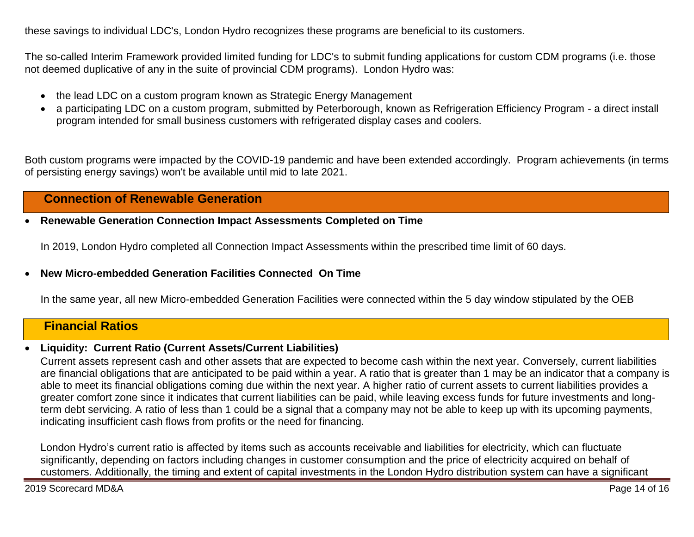these savings to individual LDC's, London Hydro recognizes these programs are beneficial to its customers.

The so-called Interim Framework provided limited funding for LDC's to submit funding applications for custom CDM programs (i.e. those not deemed duplicative of any in the suite of provincial CDM programs). London Hydro was:

- the lead LDC on a custom program known as Strategic Energy Management
- a participating LDC on a custom program, submitted by Peterborough, known as Refrigeration Efficiency Program a direct install program intended for small business customers with refrigerated display cases and coolers.

Both custom programs were impacted by the COVID-19 pandemic and have been extended accordingly. Program achievements (in terms of persisting energy savings) won't be available until mid to late 2021.

### **Connection of Renewable Generation**

**Renewable Generation Connection Impact Assessments Completed on Time**

In 2019, London Hydro completed all Connection Impact Assessments within the prescribed time limit of 60 days.

#### **New Micro-embedded Generation Facilities Connected On Time**

In the same year, all new Micro-embedded Generation Facilities were connected within the 5 day window stipulated by the OEB

### **Financial Ratios**

#### **Liquidity: Current Ratio (Current Assets/Current Liabilities)**

Current assets represent cash and other assets that are expected to become cash within the next year. Conversely, current liabilities are financial obligations that are anticipated to be paid within a year. A ratio that is greater than 1 may be an indicator that a company is able to meet its financial obligations coming due within the next year. A higher ratio of current assets to current liabilities provides a greater comfort zone since it indicates that current liabilities can be paid, while leaving excess funds for future investments and longterm debt servicing. A ratio of less than 1 could be a signal that a company may not be able to keep up with its upcoming payments, indicating insufficient cash flows from profits or the need for financing.

London Hydro's current ratio is affected by items such as accounts receivable and liabilities for electricity, which can fluctuate significantly, depending on factors including changes in customer consumption and the price of electricity acquired on behalf of customers. Additionally, the timing and extent of capital investments in the London Hydro distribution system can have a significant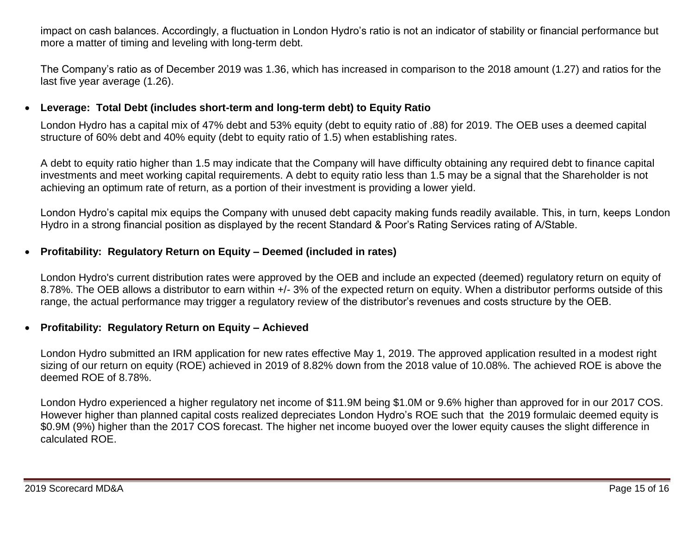impact on cash balances. Accordingly, a fluctuation in London Hydro's ratio is not an indicator of stability or financial performance but more a matter of timing and leveling with long-term debt.

The Company's ratio as of December 2019 was 1.36, which has increased in comparison to the 2018 amount (1.27) and ratios for the last five year average (1.26).

### **Leverage: Total Debt (includes short-term and long-term debt) to Equity Ratio**

London Hydro has a capital mix of 47% debt and 53% equity (debt to equity ratio of .88) for 2019. The OEB uses a deemed capital structure of 60% debt and 40% equity (debt to equity ratio of 1.5) when establishing rates.

A debt to equity ratio higher than 1.5 may indicate that the Company will have difficulty obtaining any required debt to finance capital investments and meet working capital requirements. A debt to equity ratio less than 1.5 may be a signal that the Shareholder is not achieving an optimum rate of return, as a portion of their investment is providing a lower yield.

London Hydro's capital mix equips the Company with unused debt capacity making funds readily available. This, in turn, keeps London Hydro in a strong financial position as displayed by the recent Standard & Poor's Rating Services rating of A/Stable.

### **Profitability: Regulatory Return on Equity – Deemed (included in rates)**

London Hydro's current distribution rates were approved by the OEB and include an expected (deemed) regulatory return on equity of 8.78%. The OEB allows a distributor to earn within +/- 3% of the expected return on equity. When a distributor performs outside of this range, the actual performance may trigger a regulatory review of the distributor's revenues and costs structure by the OEB.

#### **Profitability: Regulatory Return on Equity – Achieved**

London Hydro submitted an IRM application for new rates effective May 1, 2019. The approved application resulted in a modest right sizing of our return on equity (ROE) achieved in 2019 of 8.82% down from the 2018 value of 10.08%. The achieved ROE is above the deemed ROE of 8.78%.

London Hydro experienced a higher regulatory net income of \$11.9M being \$1.0M or 9.6% higher than approved for in our 2017 COS. However higher than planned capital costs realized depreciates London Hydro's ROE such that the 2019 formulaic deemed equity is \$0.9M (9%) higher than the 2017 COS forecast. The higher net income buoyed over the lower equity causes the slight difference in calculated ROE.